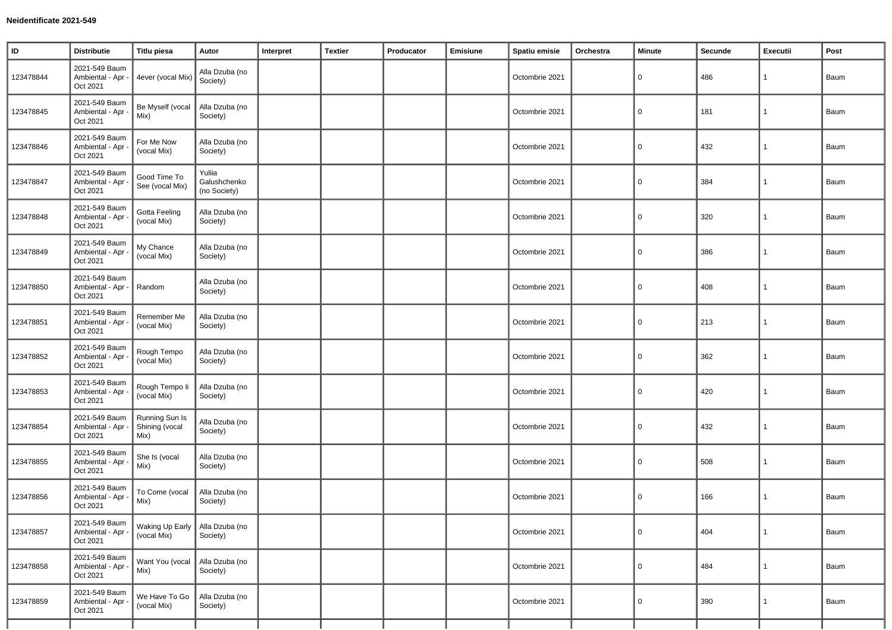| $\sf ID$  | <b>Distributie</b>                             | <b>Titlu piesa</b>                              | Autor                                  | Interpret | <b>Textier</b> | Producator | Emisiune | Spatiu emisie  | Orchestra | Minute   | Secunde | Executii     | Post |
|-----------|------------------------------------------------|-------------------------------------------------|----------------------------------------|-----------|----------------|------------|----------|----------------|-----------|----------|---------|--------------|------|
| 123478844 | 2021-549 Baum<br>Ambiental - Apr -<br>Oct 2021 | 4ever (vocal Mix                                | Alla Dzuba (no<br>Society)             |           |                |            |          | Octombrie 2021 |           | 0        | 486     | 1            | Baum |
| 123478845 | 2021-549 Baum<br>Ambiental - Apr -<br>Oct 2021 | Be Myself (vocal<br>Mix)                        | Alla Dzuba (no<br>Society)             |           |                |            |          | Octombrie 2021 |           | 0        | 181     | 1            | Baum |
| 123478846 | 2021-549 Baum<br>Ambiental - Apr<br>Oct 2021   | For Me Now<br>(vocal Mix)                       | Alla Dzuba (no<br>Society)             |           |                |            |          | Octombrie 2021 |           | $\Omega$ | 432     | $\mathbf{1}$ | Baum |
| 123478847 | 2021-549 Baum<br>Ambiental - Apr<br>Oct 2021   | Good Time To<br>See (vocal Mix)                 | Yuliia<br>Galushchenko<br>(no Society) |           |                |            |          | Octombrie 2021 |           | 0        | 384     | $\mathbf{1}$ | Baum |
| 123478848 | 2021-549 Baum<br>Ambiental - Apr<br>Oct 2021   | <b>Gotta Feeling</b><br>(vocal Mix)             | Alla Dzuba (no<br>Society)             |           |                |            |          | Octombrie 2021 |           | 0        | 320     | $\mathbf{1}$ | Baum |
| 123478849 | 2021-549 Baum<br>Ambiental - Apr<br>Oct 2021   | My Chance<br>(vocal Mix)                        | Alla Dzuba (no<br>Society)             |           |                |            |          | Octombrie 2021 |           | 0        | 386     | $\mathbf{1}$ | Baum |
| 123478850 | 2021-549 Baum<br>Ambiental - Apr -<br>Oct 2021 | Random                                          | Alla Dzuba (no<br>Society)             |           |                |            |          | Octombrie 2021 |           | 0        | 408     | $\mathbf{1}$ | Baum |
| 123478851 | 2021-549 Baum<br>Ambiental - Apr<br>Oct 2021   | Remember Me<br>(vocal Mix)                      | Alla Dzuba (no<br>Society)             |           |                |            |          | Octombrie 2021 |           | 0        | 213     | 1            | Baum |
| 123478852 | 2021-549 Baum<br>Ambiental - Apr<br>Oct 2021   | Rough Tempo<br>(vocal Mix)                      | Alla Dzuba (no<br>Society)             |           |                |            |          | Octombrie 2021 |           | 0        | 362     | $\mathbf{1}$ | Baum |
| 123478853 | 2021-549 Baum<br>Ambiental - Apr<br>Oct 2021   | Rough Tempo li<br>(vocal Mix)                   | Alla Dzuba (no<br>Society)             |           |                |            |          | Octombrie 2021 |           | 0        | 420     | $\mathbf{1}$ | Baum |
| 123478854 | 2021-549 Baum<br>Ambiental - Apr<br>Oct 2021   | Running Sun Is<br>Shining (vocal<br>Mix)        | Alla Dzuba (no<br>Society)             |           |                |            |          | Octombrie 2021 |           | 0        | 432     | 1            | Baum |
| 123478855 | 2021-549 Baum<br>Ambiental - Apr<br>Oct 2021   | She Is (vocal<br>Mix)                           | Alla Dzuba (no<br>Society)             |           |                |            |          | Octombrie 2021 |           | 0        | 508     | 1            | Baum |
| 123478856 | 2021-549 Baum<br>Ambiental - Apr<br>Oct 2021   | To Come (vocal<br>Mix)                          | Alla Dzuba (no<br>Society)             |           |                |            |          | Octombrie 2021 |           | 0        | 166     | $\mathbf{1}$ | Baum |
| 123478857 | 2021-549 Baum<br>Ambiental - Apr -<br>Oct 2021 | Waking Up Early   Alla Dzuba (no<br>(vocal Mix) | Society)                               |           |                |            |          | Octombrie 2021 |           | 0        | 404     | $\mathbf{1}$ | Baum |
| 123478858 | 2021-549 Baum<br>Ambiental - Apr -<br>Oct 2021 | Want You (vocal<br>Mix)                         | Alla Dzuba (no<br>Society)             |           |                |            |          | Octombrie 2021 |           | 0        | 484     | $\mathbf{1}$ | Baum |
| 123478859 | 2021-549 Baum<br>Ambiental - Apr<br>Oct 2021   | We Have To Go<br>(vocal Mix)                    | Alla Dzuba (no<br>Society)             |           |                |            |          | Octombrie 2021 |           | 0        | 390     | $\mathbf{1}$ | Baum |
|           |                                                |                                                 |                                        |           |                |            |          |                |           |          |         |              |      |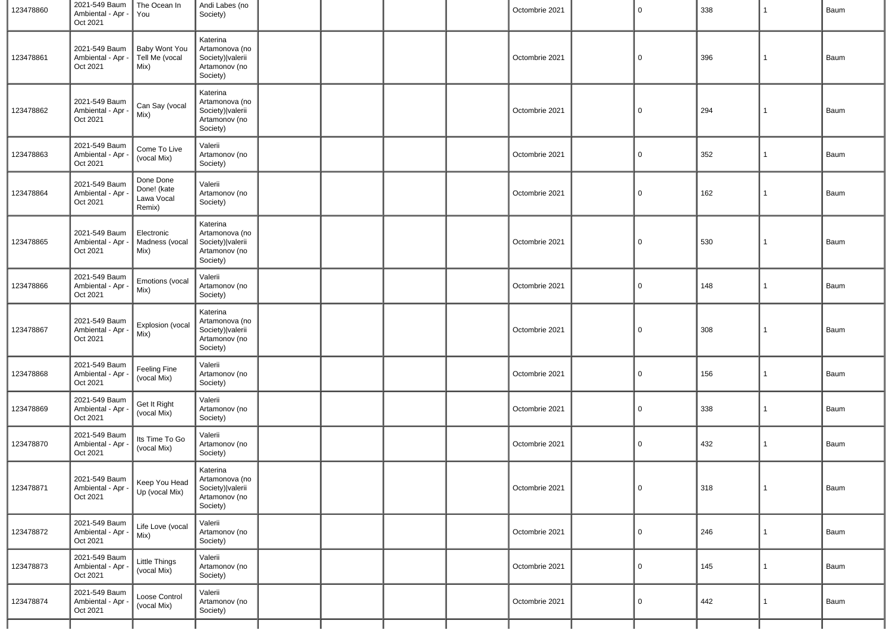| 123478860 | 2021-549 Baum<br>Ambiental - Apr -<br>Oct 2021 | The Ocean In<br>You                              | Andi Labes (no<br>Society)                                                    |  |  | Octombrie 2021 | $\overline{0}$ | 338 | $\mathbf{1}$ | Baum |
|-----------|------------------------------------------------|--------------------------------------------------|-------------------------------------------------------------------------------|--|--|----------------|----------------|-----|--------------|------|
| 123478861 | 2021-549 Baum<br>Ambiental - Apr -<br>Oct 2021 | Baby Wont You<br>Tell Me (vocal<br>Mix)          | Katerina<br>Artamonova (no<br>Society)   valerii<br>Artamonov (no<br>Society) |  |  | Octombrie 2021 | $\overline{0}$ | 396 | $\mathbf{1}$ | Baum |
| 123478862 | 2021-549 Baum<br>Ambiental - Apr -<br>Oct 2021 | Can Say (vocal<br>Mix)                           | Katerina<br>Artamonova (no<br>Society)   valerii<br>Artamonov (no<br>Society) |  |  | Octombrie 2021 | $\overline{0}$ | 294 | $\mathbf{1}$ | Baum |
| 123478863 | 2021-549 Baum<br>Ambiental - Apr<br>Oct 2021   | Come To Live<br>(vocal Mix)                      | Valerii<br>Artamonov (no<br>Society)                                          |  |  | Octombrie 2021 | $\overline{0}$ | 352 | $\mathbf{1}$ | Baum |
| 123478864 | 2021-549 Baum<br>Ambiental - Apr<br>Oct 2021   | Done Done<br>Done! (kate<br>Lawa Vocal<br>Remix) | Valerii<br>Artamonov (no<br>Society)                                          |  |  | Octombrie 2021 | $\overline{0}$ | 162 | $\mathbf{1}$ | Baum |
| 123478865 | 2021-549 Baum<br>Ambiental - Apr -<br>Oct 2021 | Electronic<br>Madness (vocal<br>Mix)             | Katerina<br>Artamonova (no<br>Society)   valerii<br>Artamonov (no<br>Society) |  |  | Octombrie 2021 | $\overline{0}$ | 530 | $\mathbf{1}$ | Baum |
| 123478866 | 2021-549 Baum<br>Ambiental - Apr<br>Oct 2021   | Emotions (vocal<br>Mix)                          | Valerii<br>Artamonov (no<br>Society)                                          |  |  | Octombrie 2021 | $\overline{0}$ | 148 | $\mathbf{1}$ | Baum |
| 123478867 | 2021-549 Baum<br>Ambiental - Apr -<br>Oct 2021 | Explosion (vocal<br>Mix)                         | Katerina<br>Artamonova (no<br>Society)   valerii<br>Artamonov (no<br>Society) |  |  | Octombrie 2021 | $\overline{0}$ | 308 | $\mathbf{1}$ | Baum |
| 123478868 | 2021-549 Baum<br>Ambiental - Apr<br>Oct 2021   | Feeling Fine<br>(vocal Mix)                      | Valerii<br>Artamonov (no<br>Society)                                          |  |  | Octombrie 2021 | $\overline{0}$ | 156 | $\mathbf{1}$ | Baum |
| 123478869 | 2021-549 Baum<br>Ambiental - Apr<br>Oct 2021   | Get It Right<br>(vocal Mix)                      | Valerii<br>Artamonov (no<br>Society)                                          |  |  | Octombrie 2021 | $\mathbf 0$    | 338 | $\mathbf{1}$ | Baum |
| 123478870 | 2021-549 Baum<br>Ambiental - Apr<br>Oct 2021   | Its Time To Go<br>(vocal Mix)                    | Valerii<br>Artamonov (no<br>Society)                                          |  |  | Octombrie 2021 | $\overline{0}$ | 432 | $\mathbf{1}$ | Baum |
| 123478871 | 2021-549 Baum<br>Ambiental - Apr -<br>Oct 2021 | Keep You Head<br>Up (vocal Mix)                  | Katerina<br>Artamonova (no<br>Society)   valerii<br>Artamonov (no<br>Society) |  |  | Octombrie 2021 | $\overline{0}$ | 318 | 1            | Baum |
| 123478872 | 2021-549 Baum<br>Ambiental - Apr -<br>Oct 2021 | Life Love (vocal<br>Mix)                         | Valerii<br>Artamonov (no<br>Society)                                          |  |  | Octombrie 2021 | $\mathsf 0$    | 246 | $\mathbf{1}$ | Baum |
| 123478873 | 2021-549 Baum<br>Ambiental - Apr<br>Oct 2021   | Little Things<br>(vocal Mix)                     | Valerii<br>Artamonov (no<br>Society)                                          |  |  | Octombrie 2021 | $\overline{0}$ | 145 | $\mathbf{1}$ | Baum |
| 123478874 | 2021-549 Baum<br>Ambiental - Apr<br>Oct 2021   | Loose Control<br>(vocal Mix)                     | Valerii<br>Artamonov (no<br>Society)                                          |  |  | Octombrie 2021 | $\Omega$       | 442 | $\mathbf{1}$ | Baum |
|           |                                                |                                                  |                                                                               |  |  |                |                |     |              |      |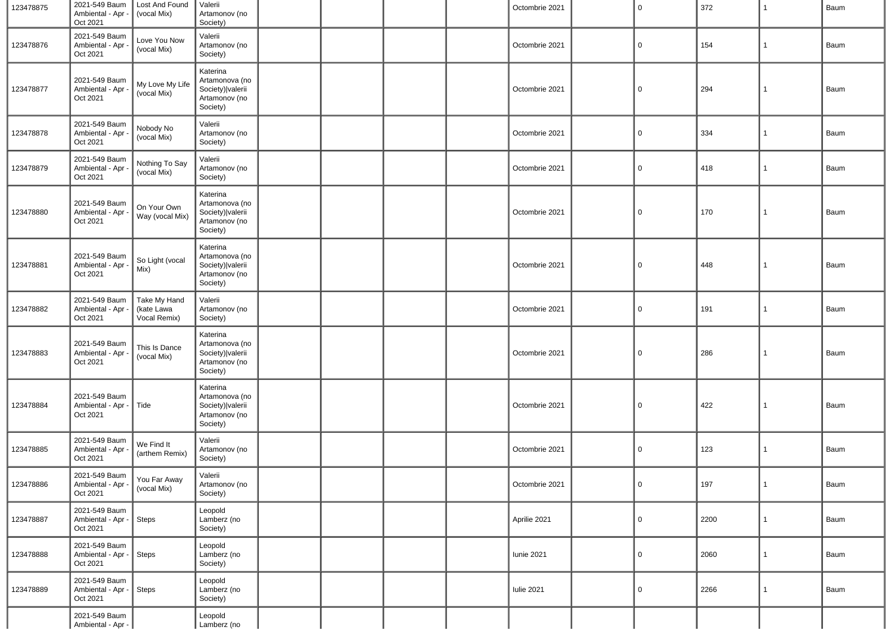| 123478875 | 2021-549 Baum<br>Ambiental - Apr -<br>Oct 2021 | Lost And Found<br>(vocal Mix)              | Valerii<br>Artamonov (no<br>Society)                                          |  |  | Octombrie 2021    | $\mathbf 0$ | 372  | 1            | Baum |
|-----------|------------------------------------------------|--------------------------------------------|-------------------------------------------------------------------------------|--|--|-------------------|-------------|------|--------------|------|
| 123478876 | 2021-549 Baum<br>Ambiental - Apr -<br>Oct 2021 | Love You Now<br>(vocal Mix)                | Valerii<br>Artamonov (no<br>Society)                                          |  |  | Octombrie 2021    | 0           | 154  | 1            | Baum |
| 123478877 | 2021-549 Baum<br>Ambiental - Apr -<br>Oct 2021 | My Love My Life<br>(vocal Mix)             | Katerina<br>Artamonova (no<br>Society)   valerii<br>Artamonov (no<br>Society) |  |  | Octombrie 2021    | 0           | 294  | 1            | Baum |
| 123478878 | 2021-549 Baum<br>Ambiental - Apr<br>Oct 2021   | Nobody No<br>(vocal Mix)                   | Valerii<br>Artamonov (no<br>Society)                                          |  |  | Octombrie 2021    | 0           | 334  | 1            | Baum |
| 123478879 | 2021-549 Baum<br>Ambiental - Apr<br>Oct 2021   | Nothing To Say<br>(vocal Mix)              | Valerii<br>Artamonov (no<br>Society)                                          |  |  | Octombrie 2021    | 0           | 418  | 1            | Baum |
| 123478880 | 2021-549 Baum<br>Ambiental - Apr<br>Oct 2021   | On Your Own<br>Way (vocal Mix)             | Katerina<br>Artamonova (no<br>Society)   valerii<br>Artamonov (no<br>Society) |  |  | Octombrie 2021    | 0           | 170  | 1            | Baum |
| 123478881 | 2021-549 Baum<br>Ambiental - Apr -<br>Oct 2021 | So Light (vocal<br>Mix)                    | Katerina<br>Artamonova (no<br>Society)   valerii<br>Artamonov (no<br>Society) |  |  | Octombrie 2021    | 0           | 448  | -1           | Baum |
| 123478882 | 2021-549 Baum<br>Ambiental - Apr -<br>Oct 2021 | Take My Hand<br>(kate Lawa<br>Vocal Remix) | Valerii<br>Artamonov (no<br>Society)                                          |  |  | Octombrie 2021    | 0           | 191  | 1            | Baum |
| 123478883 | 2021-549 Baum<br>Ambiental - Apr -<br>Oct 2021 | This Is Dance<br>(vocal Mix)               | Katerina<br>Artamonova (no<br>Society)   valerii<br>Artamonov (no<br>Society) |  |  | Octombrie 2021    | 0           | 286  | 1            | Baum |
| 123478884 | 2021-549 Baum<br>Ambiental - Apr -<br>Oct 2021 | Tide                                       | Katerina<br>Artamonova (no<br>Society)   valerii<br>Artamonov (no<br>Society) |  |  | Octombrie 2021    | 0           | 422  | 1            | Baum |
| 123478885 | 2021-549 Baum<br>Ambiental - Apr -<br>Oct 2021 | We Find It<br>(arthem Remix)               | Valerii<br>Artamonov (no<br>Society)                                          |  |  | Octombrie 2021    | 0           | 123  | 1            | Baum |
| 123478886 | 2021-549 Baum<br>Ambiental - Apr -<br>Oct 2021 | You Far Away<br>(vocal Mix)                | Valerii<br>Artamonov (no<br>Society)                                          |  |  | Octombrie 2021    | $\mathsf 0$ | 197  | $\mathbf{1}$ | Baum |
| 123478887 | 2021-549 Baum<br>Ambiental - Apr -<br>Oct 2021 | Steps                                      | Leopold<br>Lamberz (no<br>Society)                                            |  |  | Aprilie 2021      | $\mathbf 0$ | 2200 | 1            | Baum |
| 123478888 | 2021-549 Baum<br>Ambiental - Apr -<br>Oct 2021 | Steps                                      | Leopold<br>Lamberz (no<br>Society)                                            |  |  | <b>Iunie 2021</b> | $\mathbf 0$ | 2060 | $\mathbf{1}$ | Baum |
| 123478889 | 2021-549 Baum<br>Ambiental - Apr -<br>Oct 2021 | Steps                                      | Leopold<br>Lamberz (no<br>Society)                                            |  |  | <b>Iulie 2021</b> | 0           | 2266 | 1            | Baum |
|           | 2021-549 Baum<br>Ambiental - Apr -             |                                            | Leopold<br>Lamberz (no                                                        |  |  |                   |             |      |              |      |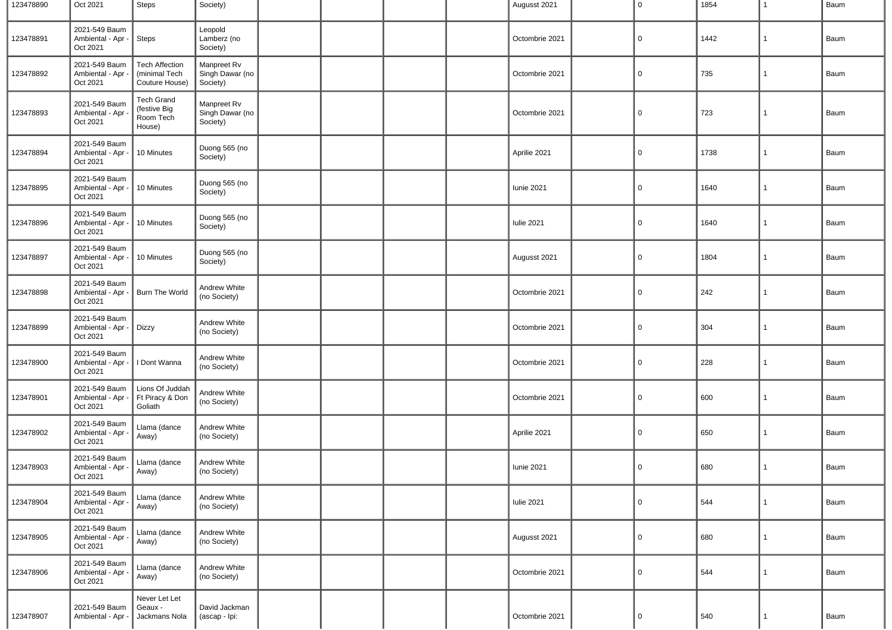| 123478890 | Oct 2021                                       | Steps                                                    | Society)                                   |  |  | Augusst 2021      | $\mathbf 0$ | 1854 | 1            | Baum |
|-----------|------------------------------------------------|----------------------------------------------------------|--------------------------------------------|--|--|-------------------|-------------|------|--------------|------|
| 123478891 | 2021-549 Baum<br>Ambiental - Apr -<br>Oct 2021 | Steps                                                    | Leopold<br>Lamberz (no<br>Society)         |  |  | Octombrie 2021    | $\mathbf 0$ | 1442 | $\mathbf{1}$ | Baum |
| 123478892 | 2021-549 Baum<br>Ambiental - Apr -<br>Oct 2021 | <b>Tech Affection</b><br>(minimal Tech<br>Couture House) | Manpreet Rv<br>Singh Dawar (no<br>Society) |  |  | Octombrie 2021    | $\mathbf 0$ | 735  | $\mathbf{1}$ | Baum |
| 123478893 | 2021-549 Baum<br>Ambiental - Apr<br>Oct 2021   | <b>Tech Grand</b><br>(festive Big<br>Room Tech<br>House) | Manpreet Rv<br>Singh Dawar (no<br>Society) |  |  | Octombrie 2021    | 0           | 723  | 1            | Baum |
| 123478894 | 2021-549 Baum<br>Ambiental - Apr<br>Oct 2021   | 10 Minutes                                               | Duong 565 (no<br>Society)                  |  |  | Aprilie 2021      | $\mathbf 0$ | 1738 | $\mathbf{1}$ | Baum |
| 123478895 | 2021-549 Baum<br>Ambiental - Apr -<br>Oct 2021 | 10 Minutes                                               | Duong 565 (no<br>Society)                  |  |  | <b>Iunie 2021</b> | $\mathbf 0$ | 1640 | $\mathbf{1}$ | Baum |
| 123478896 | 2021-549 Baum<br>Ambiental - Apr -<br>Oct 2021 | 10 Minutes                                               | Duong 565 (no<br>Society)                  |  |  | <b>Iulie 2021</b> | 0           | 1640 | 1            | Baum |
| 123478897 | 2021-549 Baum<br>Ambiental - Apr<br>Oct 2021   | 10 Minutes                                               | Duong 565 (no<br>Society)                  |  |  | Augusst 2021      | $\mathbf 0$ | 1804 | $\mathbf{1}$ | Baum |
| 123478898 | 2021-549 Baum<br>Ambiental - Apr<br>Oct 2021   | Burn The World                                           | Andrew White<br>(no Society)               |  |  | Octombrie 2021    | $\mathbf 0$ | 242  | $\mathbf{1}$ | Baum |
| 123478899 | 2021-549 Baum<br>Ambiental - Apr -<br>Oct 2021 | <b>Dizzy</b>                                             | Andrew White<br>(no Society)               |  |  | Octombrie 2021    | $\mathbf 0$ | 304  | $\mathbf{1}$ | Baum |
| 123478900 | 2021-549 Baum<br>Ambiental - Apr -<br>Oct 2021 | I Dont Wanna                                             | Andrew White<br>(no Society)               |  |  | Octombrie 2021    | $\mathbf 0$ | 228  | $\mathbf{1}$ | Baum |
| 123478901 | 2021-549 Baum<br>Ambiental - Apr -<br>Oct 2021 | Lions Of Juddah<br>Ft Piracy & Don<br>Goliath            | Andrew White<br>(no Society)               |  |  | Octombrie 2021    | $\mathbf 0$ | 600  | $\mathbf{1}$ | Baum |
| 123478902 | 2021-549 Baum<br>Ambiental - Apr<br>Oct 2021   | Llama (dance<br>Away)                                    | Andrew White<br>(no Society)               |  |  | Aprilie 2021      | $\mathbf 0$ | 650  | $\mathbf{1}$ | Baum |
| 123478903 | 2021-549 Baum<br>Ambiental - Apr<br>Oct 2021   | Llama (dance<br>Away)                                    | Andrew White<br>(no Society)               |  |  | <b>Iunie 2021</b> | $\mathbf 0$ | 680  | 1            | Baum |
| 123478904 | 2021-549 Baum<br>Ambiental - Apr<br>Oct 2021   | Llama (dance<br>Away)                                    | Andrew White<br>(no Society)               |  |  | <b>Iulie 2021</b> | $\mathsf 0$ | 544  | $\mathbf{1}$ | Baum |
| 123478905 | 2021-549 Baum<br>Ambiental - Apr<br>Oct 2021   | Llama (dance<br>Away)                                    | Andrew White<br>(no Society)               |  |  | Augusst 2021      | $\mathbf 0$ | 680  | $\mathbf{1}$ | Baum |
| 123478906 | 2021-549 Baum<br>Ambiental - Apr<br>Oct 2021   | Llama (dance<br>Away)                                    | Andrew White<br>(no Society)               |  |  | Octombrie 2021    | $\mathbf 0$ | 544  | $\mathbf{1}$ | Baum |
| 123478907 | 2021-549 Baum<br>Ambiental - Apr               | Never Let Let<br>Geaux -<br>Jackmans Nola                | David Jackman<br>(ascap - Ipi:             |  |  | Octombrie 2021    | $\mathbf 0$ | 540  | $\mathbf{1}$ | Baum |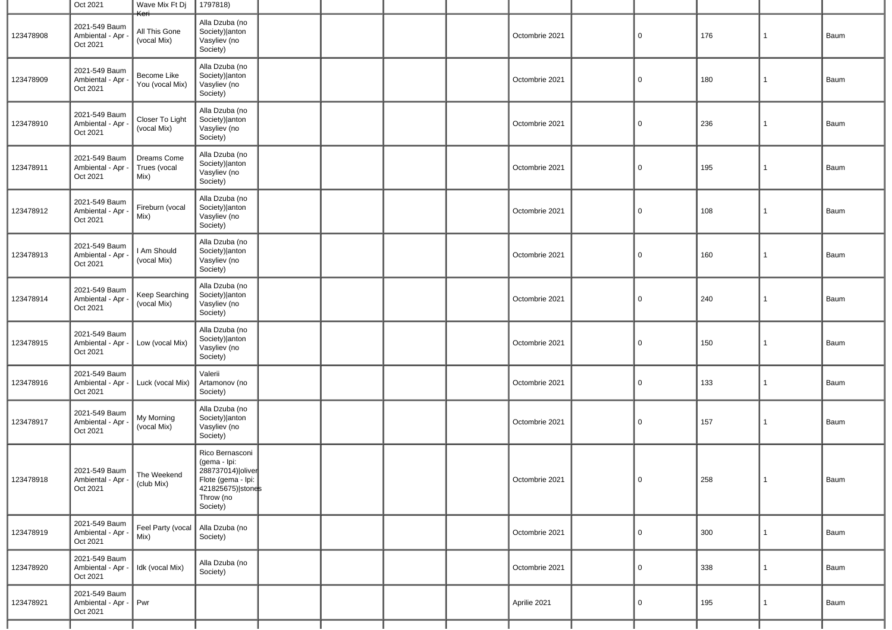|           | Oct 2021                                                                      | Wave Mix Ft Dj<br><del>Keri</del>   | 1797818)                                                                                                                   |  |  |                |                |     |              |      |
|-----------|-------------------------------------------------------------------------------|-------------------------------------|----------------------------------------------------------------------------------------------------------------------------|--|--|----------------|----------------|-----|--------------|------|
| 123478908 | 2021-549 Baum<br>Ambiental - Apr<br>Oct 2021                                  | All This Gone<br>(vocal Mix)        | Alla Dzuba (no<br>Society) anton<br>Vasyliev (no<br>Society)                                                               |  |  | Octombrie 2021 | $\mathbf 0$    | 176 | $\mathbf{1}$ | Baum |
| 123478909 | 2021-549 Baum<br>Ambiental - Apr<br>Oct 2021                                  | Become Like<br>You (vocal Mix)      | Alla Dzuba (no<br>Society) anton<br>Vasyliev (no<br>Society)                                                               |  |  | Octombrie 2021 | $\mathbf 0$    | 180 | $\mathbf{1}$ | Baum |
| 123478910 | 2021-549 Baum<br>Ambiental - Apr<br>Oct 2021                                  | Closer To Light<br>(vocal Mix)      | Alla Dzuba (no<br>Society) anton<br>Vasyliev (no<br>Society)                                                               |  |  | Octombrie 2021 | $\overline{0}$ | 236 | $\mathbf{1}$ | Baum |
| 123478911 | 2021-549 Baum<br>Ambiental - Apr -<br>Oct 2021                                | Dreams Come<br>Trues (vocal<br>Mix) | Alla Dzuba (no<br>Society) anton<br>Vasyliev (no<br>Society)                                                               |  |  | Octombrie 2021 | 0              | 195 | 1            | Baum |
| 123478912 | 2021-549 Baum<br>Ambiental - Apr<br>Oct 2021                                  | Fireburn (vocal<br>Mix)             | Alla Dzuba (no<br>Society) anton<br>Vasyliev (no<br>Society)                                                               |  |  | Octombrie 2021 | $\mathbf 0$    | 108 | $\mathbf{1}$ | Baum |
| 123478913 | 2021-549 Baum<br>Ambiental - Apr<br>Oct 2021                                  | I Am Should<br>(vocal Mix)          | Alla Dzuba (no<br>Society) anton<br>Vasyliev (no<br>Society)                                                               |  |  | Octombrie 2021 | $\overline{0}$ | 160 | $\mathbf{1}$ | Baum |
| 123478914 | 2021-549 Baum<br>Ambiental - Apr<br>Oct 2021                                  | Keep Searching<br>(vocal Mix)       | Alla Dzuba (no<br>Society) anton<br>Vasyliev (no<br>Society)                                                               |  |  | Octombrie 2021 | $\overline{0}$ | 240 | 1            | Baum |
| 123478915 | 2021-549 Baum<br>Ambiental - Apr -<br>Oct 2021                                | Low (vocal Mix)                     | Alla Dzuba (no<br>Society) anton<br>Vasyliev (no<br>Society)                                                               |  |  | Octombrie 2021 | $\overline{0}$ | 150 | $\mathbf{1}$ | Baum |
| 123478916 | 2021-549 Baum<br>Ambiental - Apr<br>Oct 2021                                  | Luck (vocal Mix)                    | Valerii<br>Artamonov (no<br>Society)                                                                                       |  |  | Octombrie 2021 | $\overline{0}$ | 133 | $\mathbf{1}$ | Baum |
| 123478917 | 2021-549 Baum<br>Ambiental - Apr<br>Oct 2021                                  | My Morning<br>(vocal Mix)           | Alla Dzuba (no<br>Society) anton<br>Vasyliev (no<br>Society)                                                               |  |  | Octombrie 2021 | $\mathbf 0$    | 157 | $\mathbf{1}$ | Baum |
| 123478918 | $\sqrt{2021-549}$ Baum $\sqrt{\ }$ The Weekend<br>Ambiental - Apr<br>Oct 2021 | (club Mix)                          | Rico Bernasconi<br>(gema - Ipi:<br>288737014)   oliver<br>Flote (gema - Ipi:<br>421825675) stones<br>Throw (no<br>Society) |  |  | Octombrie 2021 | 0              | 258 | 1            | Baum |
| 123478919 | 2021-549 Baum<br>Ambiental - Apr -<br>Oct 2021                                | Feel Party (vocal<br>Mix)           | Alla Dzuba (no<br>Society)                                                                                                 |  |  | Octombrie 2021 | $\overline{0}$ | 300 | 1            | Baum |
| 123478920 | 2021-549 Baum<br>Ambiental - Apr -<br>Oct 2021                                | Idk (vocal Mix)                     | Alla Dzuba (no<br>Society)                                                                                                 |  |  | Octombrie 2021 | $\mathbf 0$    | 338 | $\mathbf{1}$ | Baum |
| 123478921 | 2021-549 Baum<br>Ambiental - Apr -<br>Oct 2021                                | Pwr                                 |                                                                                                                            |  |  | Aprilie 2021   | $\mathbf 0$    | 195 | $\mathbf{1}$ | Baum |
|           |                                                                               |                                     |                                                                                                                            |  |  |                |                |     |              |      |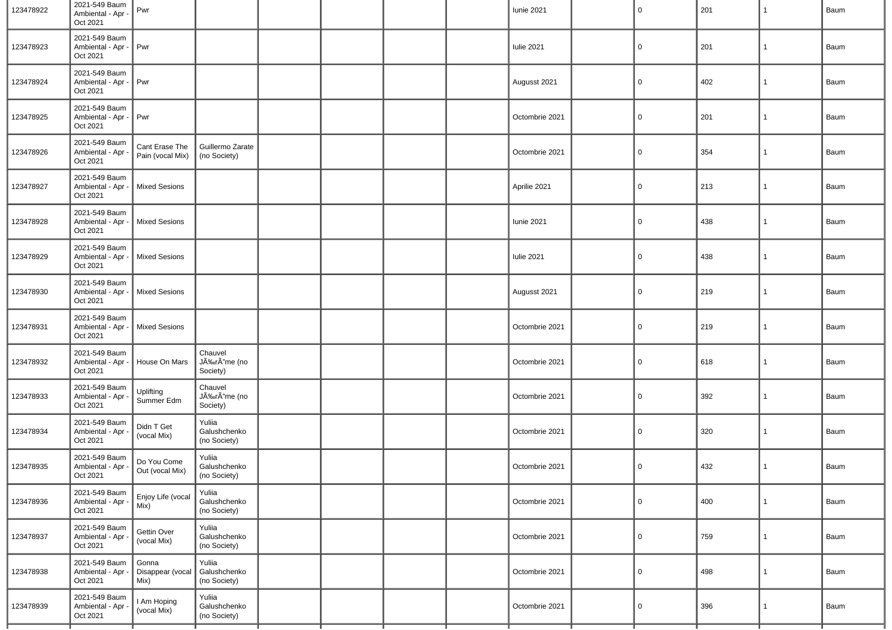| 123478922 | 2021-549 Baum<br>Ambiental - Apr -<br>Oct 2021 | Pwr                                |                                        |  |  | <b>Iunie 2021</b> | $\overline{0}$ | 201 | 1            | Baum |
|-----------|------------------------------------------------|------------------------------------|----------------------------------------|--|--|-------------------|----------------|-----|--------------|------|
| 123478923 | 2021-549 Baum<br>Ambiental - Apr -<br>Oct 2021 | Pwr                                |                                        |  |  | <b>Iulie 2021</b> | 0              | 201 | 1            | Baum |
| 123478924 | 2021-549 Baum<br>Ambiental - Apr -<br>Oct 2021 | Pwr                                |                                        |  |  | Augusst 2021      | $\mathbf 0$    | 402 | $\mathbf{1}$ | Baum |
| 123478925 | 2021-549 Baum<br>Ambiental - Apr -<br>Oct 2021 | Pwr                                |                                        |  |  | Octombrie 2021    | 0              | 201 | $\mathbf{1}$ | Baum |
| 123478926 | 2021-549 Baum<br>Ambiental - Apr<br>Oct 2021   | Cant Erase The<br>Pain (vocal Mix) | Guillermo Zarate<br>(no Society)       |  |  | Octombrie 2021    | $\overline{0}$ | 354 | $\mathbf{1}$ | Baum |
| 123478927 | 2021-549 Baum<br>Ambiental - Apr -<br>Oct 2021 | <b>Mixed Sesions</b>               |                                        |  |  | Aprilie 2021      | $\mathbf 0$    | 213 | $\mathbf{1}$ | Baum |
| 123478928 | 2021-549 Baum<br>Ambiental - Apr -<br>Oct 2021 | <b>Mixed Sesions</b>               |                                        |  |  | <b>Iunie 2021</b> | $\mathbf 0$    | 438 | $\mathbf{1}$ | Baum |
| 123478929 | 2021-549 Baum<br>Ambiental - Apr<br>Oct 2021   | <b>Mixed Sesions</b>               |                                        |  |  | <b>Iulie 2021</b> | $\mathbf 0$    | 438 | $\mathbf{1}$ | Baum |
| 123478930 | 2021-549 Baum<br>Ambiental - Apr -<br>Oct 2021 | <b>Mixed Sesions</b>               |                                        |  |  | Augusst 2021      | $\overline{0}$ | 219 | $\mathbf{1}$ | Baum |
| 123478931 | 2021-549 Baum<br>Ambiental - Apr<br>Oct 2021   | <b>Mixed Sesions</b>               |                                        |  |  | Octombrie 2021    | 0              | 219 | $\mathbf{1}$ | Baum |
| 123478932 | 2021-549 Baum<br>Ambiental - Apr -<br>Oct 2021 | House On Mars                      | Chauvel<br>JÉrÃ"me (no<br>Society)     |  |  | Octombrie 2021    | $\overline{0}$ | 618 | $\mathbf{1}$ | Baum |
| 123478933 | 2021-549 Baum<br>Ambiental - Apr<br>Oct 2021   | Uplifting<br>Summer Edm            | Chauvel<br>JÉrÃ"me (no<br>Society)     |  |  | Octombrie 2021    | 0              | 392 | $\mathbf{1}$ | Baum |
| 123478934 | 2021-549 Baum<br>Ambiental - Apr<br>Oct 2021   | Didn T Get<br>(vocal Mix)          | Yuliia<br>Galushchenko<br>(no Society) |  |  | Octombrie 2021    | $\overline{0}$ | 320 | $\mathbf{1}$ | Baum |
| 123478935 | 2021-549 Baum<br>Ambiental - Apr -<br>Oct 2021 | Do You Come<br>Out (vocal Mix)     | Yuliia<br>Galushchenko<br>(no Society) |  |  | Octombrie 2021    | $\overline{0}$ | 432 | $\mathbf{1}$ | Baum |
| 123478936 | 2021-549 Baum<br>Ambiental - Apr -<br>Oct 2021 | Enjoy Life (vocal<br>Mix)          | Yuliia<br>Galushchenko<br>(no Society) |  |  | Octombrie 2021    | $\overline{0}$ | 400 | $\mathbf{1}$ | Baum |
| 123478937 | 2021-549 Baum<br>Ambiental - Apr -<br>Oct 2021 | Gettin Over<br>(vocal Mix)         | Yuliia<br>Galushchenko<br>(no Society) |  |  | Octombrie 2021    | $\overline{0}$ | 759 | $\mathbf{1}$ | Baum |
| 123478938 | 2021-549 Baum<br>Ambiental - Apr<br>Oct 2021   | Gonna<br>Disappear (vocal<br>Mix)  | Yuliia<br>Galushchenko<br>(no Society) |  |  | Octombrie 2021    | $\overline{0}$ | 498 | $\mathbf{1}$ | Baum |
| 123478939 | 2021-549 Baum<br>Ambiental - Apr<br>Oct 2021   | I Am Hoping<br>(vocal Mix)         | Yuliia<br>Galushchenko<br>(no Society) |  |  | Octombrie 2021    | $\overline{0}$ | 396 | $\mathbf{1}$ | Baum |
|           |                                                |                                    |                                        |  |  |                   |                |     |              |      |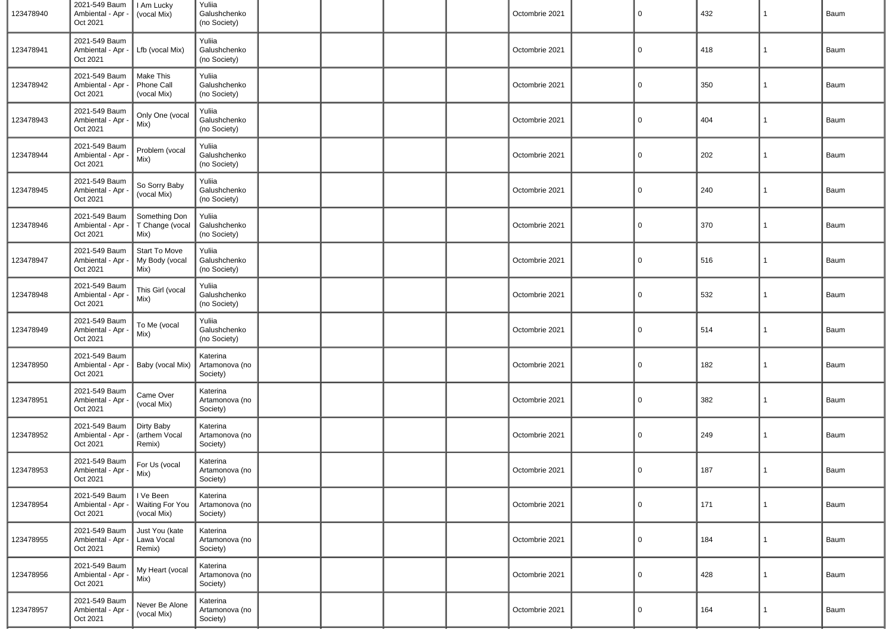| 123478940 | 2021-549 Baum<br>Ambiental - Apr -<br>Oct 2021 | I Am Lucky<br>(vocal Mix)                   | Yuliia<br>Galushchenko<br>(no Society) |  |  | Octombrie 2021 | $\overline{0}$ | 432 | 1            | Baum |
|-----------|------------------------------------------------|---------------------------------------------|----------------------------------------|--|--|----------------|----------------|-----|--------------|------|
| 123478941 | 2021-549 Baum<br>Ambiental - Apr -<br>Oct 2021 | Lfb (vocal Mix)                             | Yuliia<br>Galushchenko<br>(no Society) |  |  | Octombrie 2021 | 0              | 418 | $\mathbf{1}$ | Baum |
| 123478942 | 2021-549 Baum<br>Ambiental - Apr -<br>Oct 2021 | Make This<br>Phone Call<br>(vocal Mix)      | Yuliia<br>Galushchenko<br>(no Society) |  |  | Octombrie 2021 | 0              | 350 | $\mathbf{1}$ | Baum |
| 123478943 | 2021-549 Baum<br>Ambiental - Apr -<br>Oct 2021 | Only One (vocal<br>Mix)                     | Yuliia<br>Galushchenko<br>(no Society) |  |  | Octombrie 2021 | 0              | 404 | $\mathbf{1}$ | Baum |
| 123478944 | 2021-549 Baum<br>Ambiental - Apr<br>Oct 2021   | Problem (vocal<br>Mix)                      | Yuliia<br>Galushchenko<br>(no Society) |  |  | Octombrie 2021 | 0              | 202 | $\mathbf{1}$ | Baum |
| 123478945 | 2021-549 Baum<br>Ambiental - Apr<br>Oct 2021   | So Sorry Baby<br>(vocal Mix)                | Yuliia<br>Galushchenko<br>(no Society) |  |  | Octombrie 2021 | $\overline{0}$ | 240 | $\mathbf{1}$ | Baum |
| 123478946 | 2021-549 Baum<br>Ambiental - Apr<br>Oct 2021   | Something Don<br>T Change (vocal<br>Mix)    | Yuliia<br>Galushchenko<br>(no Society) |  |  | Octombrie 2021 | 0              | 370 | $\mathbf{1}$ | Baum |
| 123478947 | 2021-549 Baum<br>Ambiental - Apr<br>Oct 2021   | Start To Move<br>My Body (vocal<br>Mix)     | Yuliia<br>Galushchenko<br>(no Society) |  |  | Octombrie 2021 | 0              | 516 | $\mathbf{1}$ | Baum |
| 123478948 | 2021-549 Baum<br>Ambiental - Apr<br>Oct 2021   | This Girl (vocal<br>Mix)                    | Yuliia<br>Galushchenko<br>(no Society) |  |  | Octombrie 2021 | 0              | 532 | $\mathbf{1}$ | Baum |
| 123478949 | 2021-549 Baum<br>Ambiental - Apr -<br>Oct 2021 | To Me (vocal<br>Mix)                        | Yuliia<br>Galushchenko<br>(no Society) |  |  | Octombrie 2021 | $\overline{0}$ | 514 | $\mathbf{1}$ | Baum |
| 123478950 | 2021-549 Baum<br>Ambiental - Apr<br>Oct 2021   | Baby (vocal Mix)                            | Katerina<br>Artamonova (no<br>Society) |  |  | Octombrie 2021 | 0              | 182 | $\mathbf{1}$ | Baum |
| 123478951 | 2021-549 Baum<br>Ambiental - Apr<br>Oct 2021   | Came Over<br>(vocal Mix)                    | Katerina<br>Artamonova (no<br>Society) |  |  | Octombrie 2021 | 0              | 382 | $\mathbf{1}$ | Baum |
| 123478952 | 2021-549 Baum<br>Ambiental - Apr<br>Oct 2021   | Dirty Baby<br>(arthem Vocal<br>Remix)       | Katerina<br>Artamonova (no<br>Society) |  |  | Octombrie 2021 | 0              | 249 | $\mathbf{1}$ | Baum |
| 123478953 | 2021-549 Baum<br>Ambiental - Apr -<br>Oct 2021 | For Us (vocal<br>Mix)                       | Katerina<br>Artamonova (no<br>Society) |  |  | Octombrie 2021 | $\mathbf 0$    | 187 | $\mathbf{1}$ | Baum |
| 123478954 | 2021-549 Baum<br>Ambiental - Apr<br>Oct 2021   | I Ve Been<br>Waiting For You<br>(vocal Mix) | Katerina<br>Artamonova (no<br>Society) |  |  | Octombrie 2021 | $\mathbf 0$    | 171 | $\mathbf{1}$ | Baum |
| 123478955 | 2021-549 Baum<br>Ambiental - Apr -<br>Oct 2021 | Just You (kate<br>Lawa Vocal<br>Remix)      | Katerina<br>Artamonova (no<br>Society) |  |  | Octombrie 2021 | $\overline{0}$ | 184 | $\mathbf{1}$ | Baum |
| 123478956 | 2021-549 Baum<br>Ambiental - Apr -<br>Oct 2021 | My Heart (vocal<br>Mix)                     | Katerina<br>Artamonova (no<br>Society) |  |  | Octombrie 2021 | $\mathbf 0$    | 428 | $\mathbf{1}$ | Baum |
| 123478957 | 2021-549 Baum<br>Ambiental - Apr<br>Oct 2021   | Never Be Alone<br>(vocal Mix)               | Katerina<br>Artamonova (no<br>Society) |  |  | Octombrie 2021 | $\mathbf 0$    | 164 | $\mathbf{1}$ | Baum |
|           |                                                |                                             |                                        |  |  |                |                |     |              |      |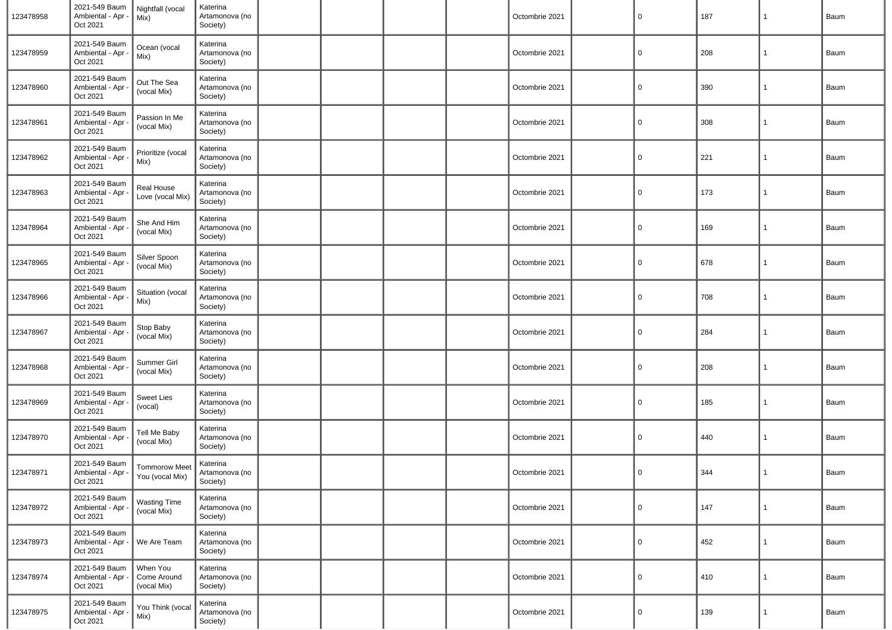| 123478958 | 2021-549 Baum<br>Ambiental - Apr -<br>Oct 2021 | Nightfall (vocal<br>Mix)                | Katerina<br>Artamonova (no<br>Society) |  |  | Octombrie 2021 | $\overline{0}$ | 187 | $\mathbf{1}$   | Baum |
|-----------|------------------------------------------------|-----------------------------------------|----------------------------------------|--|--|----------------|----------------|-----|----------------|------|
| 123478959 | 2021-549 Baum<br>Ambiental - Apr<br>Oct 2021   | Ocean (vocal<br>Mix)                    | Katerina<br>Artamonova (no<br>Society) |  |  | Octombrie 2021 | 0              | 208 | $\mathbf{1}$   | Baum |
| 123478960 | 2021-549 Baum<br>Ambiental - Apr<br>Oct 2021   | Out The Sea<br>(vocal Mix)              | Katerina<br>Artamonova (no<br>Society) |  |  | Octombrie 2021 | 0              | 390 | $\mathbf{1}$   | Baum |
| 123478961 | 2021-549 Baum<br>Ambiental - Apr<br>Oct 2021   | Passion In Me<br>(vocal Mix)            | Katerina<br>Artamonova (no<br>Society) |  |  | Octombrie 2021 | 0              | 308 | 1              | Baum |
| 123478962 | 2021-549 Baum<br>Ambiental - Apr<br>Oct 2021   | Prioritize (vocal<br>Mix)               | Katerina<br>Artamonova (no<br>Society) |  |  | Octombrie 2021 | 0              | 221 | 1              | Baum |
| 123478963 | 2021-549 Baum<br>Ambiental - Apr<br>Oct 2021   | Real House<br>Love (vocal Mix)          | Katerina<br>Artamonova (no<br>Society) |  |  | Octombrie 2021 | 0              | 173 | 1              | Baum |
| 123478964 | 2021-549 Baum<br>Ambiental - Apr<br>Oct 2021   | She And Him<br>(vocal Mix)              | Katerina<br>Artamonova (no<br>Society) |  |  | Octombrie 2021 | $\overline{0}$ | 169 | 1              | Baum |
| 123478965 | 2021-549 Baum<br>Ambiental - Apr<br>Oct 2021   | Silver Spoon<br>(vocal Mix)             | Katerina<br>Artamonova (no<br>Society) |  |  | Octombrie 2021 | 0              | 678 | $\mathbf{1}$   | Baum |
| 123478966 | 2021-549 Baum<br>Ambiental - Apr<br>Oct 2021   | Situation (vocal<br>Mix)                | Katerina<br>Artamonova (no<br>Society) |  |  | Octombrie 2021 | $\mathbf 0$    | 708 | $\mathbf{1}$   | Baum |
| 123478967 | 2021-549 Baum<br>Ambiental - Apr<br>Oct 2021   | Stop Baby<br>(vocal Mix)                | Katerina<br>Artamonova (no<br>Society) |  |  | Octombrie 2021 | 0              | 284 | 1              | Baum |
| 123478968 | 2021-549 Baum<br>Ambiental - Apr<br>Oct 2021   | Summer Girl<br>(vocal Mix)              | Katerina<br>Artamonova (no<br>Society) |  |  | Octombrie 2021 | $\overline{0}$ | 208 | 1              | Baum |
| 123478969 | 2021-549 Baum<br>Ambiental - Apr<br>Oct 2021   | <b>Sweet Lies</b><br>(vocal)            | Katerina<br>Artamonova (no<br>Society) |  |  | Octombrie 2021 | 0              | 185 | 1              | Baum |
| 123478970 | 2021-549 Baum<br>Ambiental - Apr<br>Oct 2021   | Tell Me Baby<br>(vocal Mix)             | Katerina<br>Artamonova (no<br>Society) |  |  | Octombrie 2021 | $\mathbf 0$    | 440 | 1              | Baum |
| 123478971 | 2021-549 Baum<br>Ambiental - Apr -<br>Oct 2021 | <b>Tommorow Meet</b><br>You (vocal Mix) | Katerina<br>Artamonova (no<br>Society) |  |  | Octombrie 2021 | $\overline{0}$ | 344 | $\overline{1}$ | Baum |
| 123478972 | 2021-549 Baum<br>Ambiental - Apr<br>Oct 2021   | <b>Wasting Time</b><br>(vocal Mix)      | Katerina<br>Artamonova (no<br>Society) |  |  | Octombrie 2021 | $\overline{0}$ | 147 | $\mathbf{1}$   | Baum |
| 123478973 | 2021-549 Baum<br>Ambiental - Apr<br>Oct 2021   | We Are Team                             | Katerina<br>Artamonova (no<br>Society) |  |  | Octombrie 2021 | $\mathbf 0$    | 452 | $\mathbf{1}$   | Baum |
| 123478974 | 2021-549 Baum<br>Ambiental - Apr -<br>Oct 2021 | When You<br>Come Around<br>(vocal Mix)  | Katerina<br>Artamonova (no<br>Society) |  |  | Octombrie 2021 | $\overline{0}$ | 410 | $\mathbf{1}$   | Baum |
| 123478975 | 2021-549 Baum<br>Ambiental - Apr<br>Oct 2021   | You Think (vocal<br>Mix)                | Katerina<br>Artamonova (no<br>Society) |  |  | Octombrie 2021 | $\mathbf 0$    | 139 | $\mathbf{1}$   | Baum |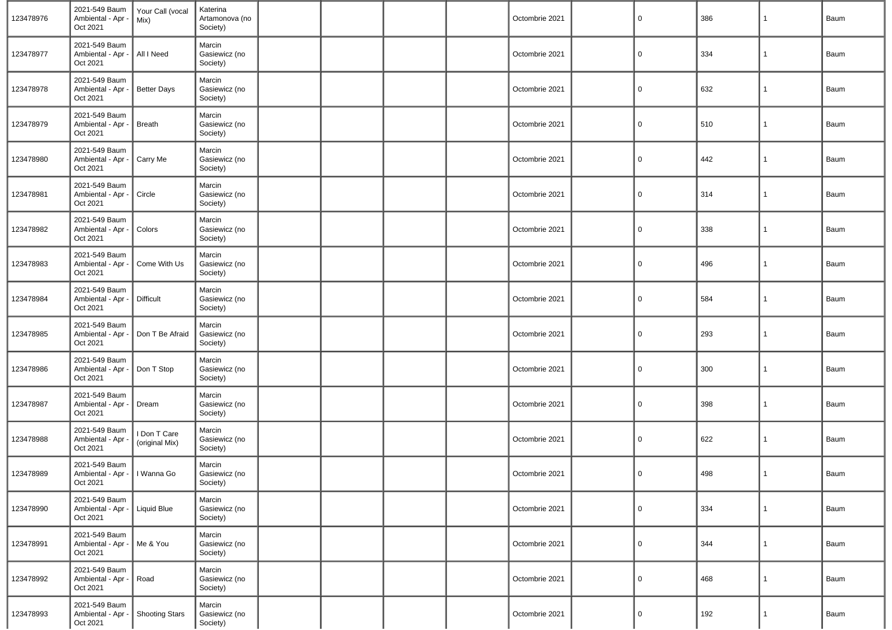| 123478976 | 2021-549 Baum<br>Ambiental - Apr -<br>Oct 2021              | Your Call (vocal<br>Mix)       | Katerina<br>Artamonova (no<br>Society) |  |  | Octombrie 2021 | 0           | 386 | 1 | Baum |
|-----------|-------------------------------------------------------------|--------------------------------|----------------------------------------|--|--|----------------|-------------|-----|---|------|
| 123478977 | 2021-549 Baum<br>Ambiental - Apr -<br>Oct 2021              | All I Need                     | Marcin<br>Gasiewicz (no<br>Society)    |  |  | Octombrie 2021 | $\mathbf 0$ | 334 | 1 | Baum |
| 123478978 | 2021-549 Baum<br>Ambiental - Apr -<br>Oct 2021              | <b>Better Days</b>             | Marcin<br>Gasiewicz (no<br>Society)    |  |  | Octombrie 2021 | $\mathbf 0$ | 632 | 1 | Baum |
| 123478979 | 2021-549 Baum<br>Ambiental - Apr -<br>Oct 2021              | <b>Breath</b>                  | Marcin<br>Gasiewicz (no<br>Society)    |  |  | Octombrie 2021 | 0           | 510 | 1 | Baum |
| 123478980 | 2021-549 Baum<br>Ambiental - Apr -<br>Oct 2021              | Carry Me                       | Marcin<br>Gasiewicz (no<br>Society)    |  |  | Octombrie 2021 | $\mathbf 0$ | 442 | 1 | Baum |
| 123478981 | 2021-549 Baum<br>Ambiental - Apr -<br>Oct 2021              | Circle                         | Marcin<br>Gasiewicz (no<br>Society)    |  |  | Octombrie 2021 | $\mathbf 0$ | 314 | 1 | Baum |
| 123478982 | 2021-549 Baum<br>Ambiental - Apr -<br>Oct 2021              | Colors                         | Marcin<br>Gasiewicz (no<br>Society)    |  |  | Octombrie 2021 | $\mathbf 0$ | 338 | 1 | Baum |
| 123478983 | 2021-549 Baum<br>Ambiental - Apr -<br>Oct 2021              | Come With Us                   | Marcin<br>Gasiewicz (no<br>Society)    |  |  | Octombrie 2021 | 0           | 496 | 1 | Baum |
| 123478984 | 2021-549 Baum<br>Ambiental - Apr -<br>Oct 2021              | Difficult                      | Marcin<br>Gasiewicz (no<br>Society)    |  |  | Octombrie 2021 | $\mathbf 0$ | 584 | 1 | Baum |
| 123478985 | 2021-549 Baum<br>Ambiental - Apr -<br>Oct 2021              | Don T Be Afraid                | Marcin<br>Gasiewicz (no<br>Society)    |  |  | Octombrie 2021 | $\mathbf 0$ | 293 | 1 | Baum |
| 123478986 | 2021-549 Baum<br>Ambiental - Apr -<br>Oct 2021              | Don T Stop                     | Marcin<br>Gasiewicz (no<br>Society)    |  |  | Octombrie 2021 | 0           | 300 | 1 | Baum |
| 123478987 | 2021-549 Baum<br>Ambiental - Apr -<br>Oct 2021              | Dream                          | Marcin<br>Gasiewicz (no<br>Society)    |  |  | Octombrie 2021 | 0           | 398 | 1 | Baum |
| 123478988 | 2021-549 Baum<br>Ambiental - Apr -<br>Oct 2021              | I Don T Care<br>(original Mix) | Marcin<br>Gasiewicz (no<br>Society)    |  |  | Octombrie 2021 | $\mathbf 0$ | 622 | 1 | Baum |
| 123478989 | 2021-549 Baum<br>Ambiental - Apr -   I Wanna Go<br>Oct 2021 |                                | Marcin<br>Gasiewicz (no<br>Society)    |  |  | Octombrie 2021 | $\mathbf 0$ | 498 | 1 | Baum |
| 123478990 | 2021-549 Baum<br>Ambiental - Apr -<br>Oct 2021              | Liquid Blue                    | Marcin<br>Gasiewicz (no<br>Society)    |  |  | Octombrie 2021 | $\mathbf 0$ | 334 | 1 | Baum |
| 123478991 | 2021-549 Baum<br>Ambiental - Apr -<br>Oct 2021              | Me & You                       | Marcin<br>Gasiewicz (no<br>Society)    |  |  | Octombrie 2021 | $\mathbf 0$ | 344 | 1 | Baum |
| 123478992 | 2021-549 Baum<br>Ambiental - Apr -<br>Oct 2021              | Road                           | Marcin<br>Gasiewicz (no<br>Society)    |  |  | Octombrie 2021 | $\mathbf 0$ | 468 | 1 | Baum |
| 123478993 | 2021-549 Baum<br>Ambiental - Apr -<br>Oct 2021              | <b>Shooting Stars</b>          | Marcin<br>Gasiewicz (no<br>Society)    |  |  | Octombrie 2021 | $\mathbf 0$ | 192 | 1 | Baum |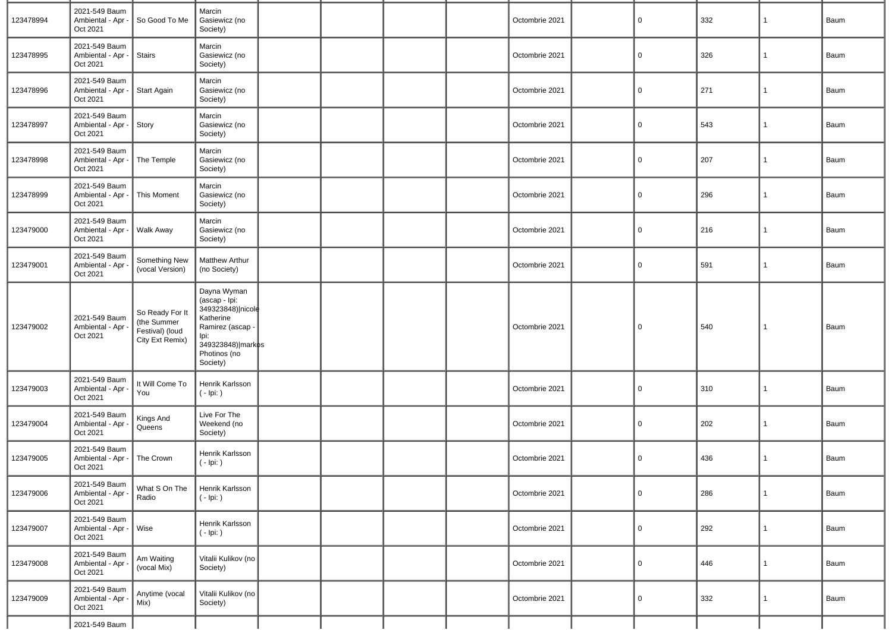| 123478994 | 2021-549 Baum<br>Ambiental - Apr<br>Oct 2021   | So Good To Me                                                        | Marcin<br>Gasiewicz (no<br>Society)                                                                                                         |  |  | Octombrie 2021 | 0              | 332 | 1            | Baum |
|-----------|------------------------------------------------|----------------------------------------------------------------------|---------------------------------------------------------------------------------------------------------------------------------------------|--|--|----------------|----------------|-----|--------------|------|
| 123478995 | 2021-549 Baum<br>Ambiental - Apr -<br>Oct 2021 | <b>Stairs</b>                                                        | Marcin<br>Gasiewicz (no<br>Society)                                                                                                         |  |  | Octombrie 2021 | $\mathbf 0$    | 326 | 1            | Baum |
| 123478996 | 2021-549 Baum<br>Ambiental - Apr<br>Oct 2021   | <b>Start Again</b>                                                   | Marcin<br>Gasiewicz (no<br>Society)                                                                                                         |  |  | Octombrie 2021 | 0              | 271 | 1            | Baum |
| 123478997 | 2021-549 Baum<br>Ambiental - Apr -<br>Oct 2021 | Story                                                                | Marcin<br>Gasiewicz (no<br>Society)                                                                                                         |  |  | Octombrie 2021 | $\mathbf 0$    | 543 | 1            | Baum |
| 123478998 | 2021-549 Baum<br>Ambiental - Apr<br>Oct 2021   | The Temple                                                           | Marcin<br>Gasiewicz (no<br>Society)                                                                                                         |  |  | Octombrie 2021 | $\mathbf 0$    | 207 | $\mathbf{1}$ | Baum |
| 123478999 | 2021-549 Baum<br>Ambiental - Apr -<br>Oct 2021 | This Moment                                                          | Marcin<br>Gasiewicz (no<br>Society)                                                                                                         |  |  | Octombrie 2021 | 0              | 296 | 1            | Baum |
| 123479000 | 2021-549 Baum<br>Ambiental - Apr<br>Oct 2021   | Walk Away                                                            | Marcin<br>Gasiewicz (no<br>Society)                                                                                                         |  |  | Octombrie 2021 | 0              | 216 | 1            | Baum |
| 123479001 | 2021-549 Baum<br>Ambiental - Apr<br>Oct 2021   | Something New<br>(vocal Version)                                     | Matthew Arthur<br>(no Society)                                                                                                              |  |  | Octombrie 2021 | $\mathbf 0$    | 591 | 1            | Baum |
| 123479002 | 2021-549 Baum<br>Ambiental - Apr<br>Oct 2021   | So Ready For It<br>(the Summer<br>Festival) (loud<br>City Ext Remix) | Dayna Wyman<br>(ascap - Ipi:<br>349323848) nicole<br>Katherine<br>Ramirez (ascap -<br>lpi:<br>349323848) markos<br>Photinos (no<br>Society) |  |  | Octombrie 2021 | $\overline{0}$ | 540 | 1            | Baum |
| 123479003 | 2021-549 Baum<br>Ambiental - Apr -<br>Oct 2021 | It Will Come To<br>You                                               | Henrik Karlsson<br>$(-$ lpi: $)$                                                                                                            |  |  | Octombrie 2021 | $\mathbf 0$    | 310 | 1            | Baum |
| 123479004 | 2021-549 Baum<br>Ambiental - Apr<br>Oct 2021   | Kings And<br>Queens                                                  | Live For The<br>Weekend (no<br>Society)                                                                                                     |  |  | Octombrie 2021 | $\mathbf 0$    | 202 | 1            | Baum |
| 123479005 | 2021-549 Baum<br>Ambiental - Apr<br>Oct 2021   | The Crown                                                            | Henrik Karlsson<br>$(-$ lpi: $)$                                                                                                            |  |  | Octombrie 2021 | 0              | 436 | 1            | Baum |
| 123479006 | 2021-549 Baum<br>Ambiental - Apr -<br>Oct 2021 | What S On The<br>Radio                                               | Henrik Karlsson<br>$(-$ lpi: $)$                                                                                                            |  |  | Octombrie 2021 | $\overline{0}$ | 286 | 1            | Baum |
| 123479007 | 2021-549 Baum<br>Ambiental - Apr -<br>Oct 2021 | Wise                                                                 | Henrik Karlsson<br>$(-$ lpi: $)$                                                                                                            |  |  | Octombrie 2021 | 0              | 292 | 1            | Baum |
| 123479008 | 2021-549 Baum<br>Ambiental - Apr<br>Oct 2021   | Am Waiting<br>(vocal Mix)                                            | Vitalii Kulikov (no<br>Society)                                                                                                             |  |  | Octombrie 2021 | 0              | 446 | 1            | Baum |
| 123479009 | 2021-549 Baum<br>Ambiental - Apr -<br>Oct 2021 | Anytime (vocal<br>Mix)                                               | Vitalii Kulikov (no<br>Society)                                                                                                             |  |  | Octombrie 2021 | 0              | 332 | 1            | Baum |
|           | 2021-549 Baum                                  |                                                                      |                                                                                                                                             |  |  |                |                |     |              |      |

-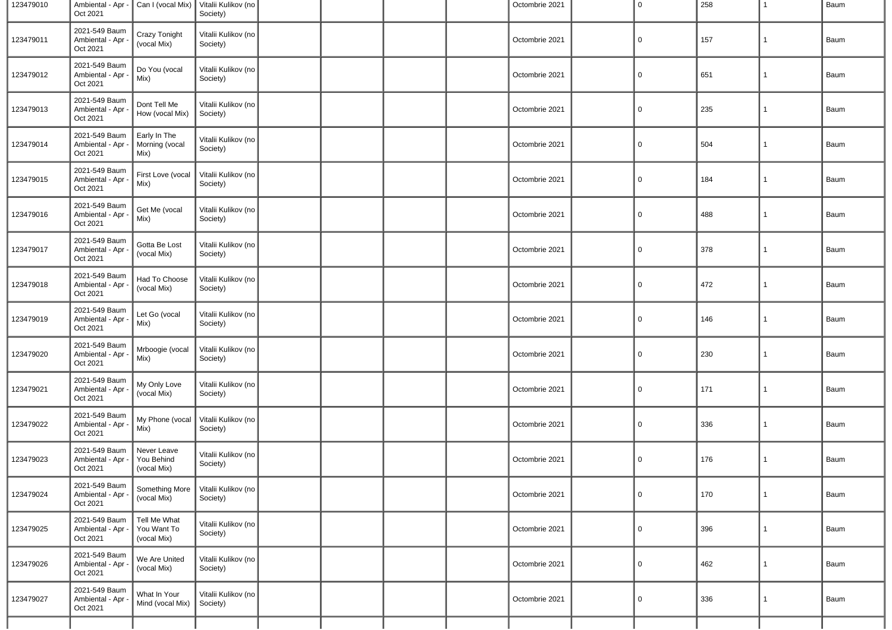| 123479010 | Ambiental - Apr -<br>Oct 2021                  | Can I (vocal Mix)                          | Vitalii Kulikov (no<br>Society) |  |  | Octombrie 2021 | $\overline{0}$ | 258 | 1            | Baum |
|-----------|------------------------------------------------|--------------------------------------------|---------------------------------|--|--|----------------|----------------|-----|--------------|------|
| 123479011 | 2021-549 Baum<br>Ambiental - Apr<br>Oct 2021   | Crazy Tonight<br>(vocal Mix)               | Vitalii Kulikov (no<br>Society) |  |  | Octombrie 2021 | $\mathbf 0$    | 157 | $\mathbf{1}$ | Baum |
| 123479012 | 2021-549 Baum<br>Ambiental - Apr<br>Oct 2021   | Do You (vocal<br>Mix)                      | Vitalii Kulikov (no<br>Society) |  |  | Octombrie 2021 | $\mathbf 0$    | 651 | $\mathbf{1}$ | Baum |
| 123479013 | 2021-549 Baum<br>Ambiental - Apr<br>Oct 2021   | Dont Tell Me<br>How (vocal Mix)            | Vitalii Kulikov (no<br>Society) |  |  | Octombrie 2021 | $\mathbf 0$    | 235 | 1            | Baum |
| 123479014 | 2021-549 Baum<br>Ambiental - Apr<br>Oct 2021   | Early In The<br>Morning (vocal<br>Mix)     | Vitalii Kulikov (no<br>Society) |  |  | Octombrie 2021 | $\mathbf 0$    | 504 | $\mathbf{1}$ | Baum |
| 123479015 | 2021-549 Baum<br>Ambiental - Apr<br>Oct 2021   | First Love (vocal<br>Mix)                  | Vitalii Kulikov (no<br>Society) |  |  | Octombrie 2021 | $\mathbf 0$    | 184 | $\mathbf{1}$ | Baum |
| 123479016 | 2021-549 Baum<br>Ambiental - Apr<br>Oct 2021   | Get Me (vocal<br>Mix)                      | Vitalii Kulikov (no<br>Society) |  |  | Octombrie 2021 | $\mathbf 0$    | 488 | $\mathbf{1}$ | Baum |
| 123479017 | 2021-549 Baum<br>Ambiental - Apr<br>Oct 2021   | Gotta Be Lost<br>(vocal Mix)               | Vitalii Kulikov (no<br>Society) |  |  | Octombrie 2021 | $\mathbf 0$    | 378 | $\mathbf{1}$ | Baum |
| 123479018 | 2021-549 Baum<br>Ambiental - Apr<br>Oct 2021   | Had To Choose<br>(vocal Mix)               | Vitalii Kulikov (no<br>Society) |  |  | Octombrie 2021 | $\mathbf 0$    | 472 | $\mathbf{1}$ | Baum |
| 123479019 | 2021-549 Baum<br>Ambiental - Apr -<br>Oct 2021 | Let Go (vocal<br>Mix)                      | Vitalii Kulikov (no<br>Society) |  |  | Octombrie 2021 | $\mathbf 0$    | 146 | $\mathbf{1}$ | Baum |
| 123479020 | 2021-549 Baum<br>Ambiental - Apr<br>Oct 2021   | Mrboogie (vocal<br>Mix)                    | Vitalii Kulikov (no<br>Society) |  |  | Octombrie 2021 | $\mathbf 0$    | 230 | $\mathbf{1}$ | Baum |
| 123479021 | 2021-549 Baum<br>Ambiental - Apr<br>Oct 2021   | My Only Love<br>(vocal Mix)                | Vitalii Kulikov (no<br>Society) |  |  | Octombrie 2021 | $\mathbf 0$    | 171 | $\mathbf{1}$ | Baum |
| 123479022 | 2021-549 Baum<br>Ambiental - Apr<br>Oct 2021   | My Phone (vocal<br>Mix)                    | Vitalii Kulikov (no<br>Society) |  |  | Octombrie 2021 | $\mathbf 0$    | 336 | $\mathbf{1}$ | Baum |
| 123479023 | 2021-549 Baum<br>Ambiental - Apr<br>Oct 2021   | Never Leave<br>You Behind<br>(vocal Mix)   | Vitalii Kulikov (no<br>Society) |  |  | Octombrie 2021 | $\overline{0}$ | 176 | $\mathbf{1}$ | Baum |
| 123479024 | 2021-549 Baum<br>Ambiental - Apr<br>Oct 2021   | Something More<br>(vocal Mix)              | Vitalii Kulikov (no<br>Society) |  |  | Octombrie 2021 | $\overline{0}$ | 170 | $\mathbf{1}$ | Baum |
| 123479025 | 2021-549 Baum<br>Ambiental - Apr -<br>Oct 2021 | Tell Me What<br>You Want To<br>(vocal Mix) | Vitalii Kulikov (no<br>Society) |  |  | Octombrie 2021 | $\overline{0}$ | 396 | $\mathbf{1}$ | Baum |
| 123479026 | 2021-549 Baum<br>Ambiental - Apr<br>Oct 2021   | We Are United<br>(vocal Mix)               | Vitalii Kulikov (no<br>Society) |  |  | Octombrie 2021 | $\mathbf 0$    | 462 | $\mathbf{1}$ | Baum |
| 123479027 | 2021-549 Baum<br>Ambiental - Apr<br>Oct 2021   | What In Your<br>Mind (vocal Mix)           | Vitalii Kulikov (no<br>Society) |  |  | Octombrie 2021 | $\mathbf 0$    | 336 | $\mathbf{1}$ | Baum |
|           |                                                |                                            |                                 |  |  |                |                |     |              |      |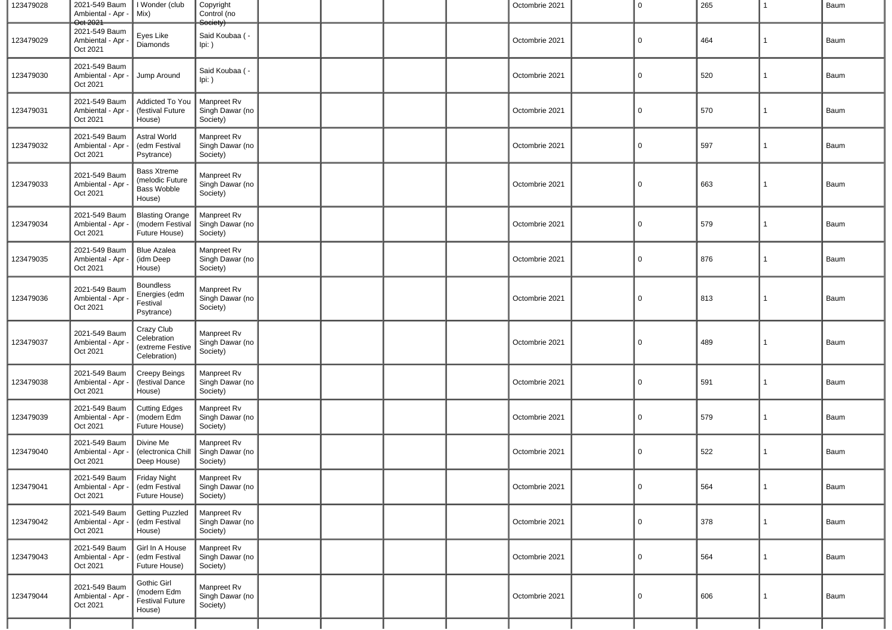| 123479028 | 2021-549 Baum<br>Ambiental - Apr -                       | I Wonder (club<br>Mix)                                                | Copyright<br>Control (no                          |  |  | Octombrie 2021 | 0              | 265 | 1            | Baum |
|-----------|----------------------------------------------------------|-----------------------------------------------------------------------|---------------------------------------------------|--|--|----------------|----------------|-----|--------------|------|
| 123479029 | Oct 2021<br>2021-549 Baum<br>Ambiental - Apr<br>Oct 2021 | Eyes Like<br>Diamonds                                                 | society <sup>:</sup><br>Said Koubaa ( -<br>Ipi: ) |  |  | Octombrie 2021 | 0              | 464 | $\mathbf{1}$ | Baum |
| 123479030 | 2021-549 Baum<br>Ambiental - Apr -<br>Oct 2021           | Jump Around                                                           | Said Koubaa ( -<br>$lpi:$ )                       |  |  | Octombrie 2021 | $\overline{0}$ | 520 | $\mathbf{1}$ | Baum |
| 123479031 | 2021-549 Baum<br>Ambiental - Apr<br>Oct 2021             | Addicted To You<br>(festival Future<br>House)                         | Manpreet Rv<br>Singh Dawar (no<br>Society)        |  |  | Octombrie 2021 | 0              | 570 | $\mathbf{1}$ | Baum |
| 123479032 | 2021-549 Baum<br>Ambiental - Apr<br>Oct 2021             | Astral World<br>(edm Festival<br>Psytrance)                           | Manpreet Rv<br>Singh Dawar (no<br>Society)        |  |  | Octombrie 2021 | 0              | 597 | $\mathbf{1}$ | Baum |
| 123479033 | 2021-549 Baum<br>Ambiental - Apr<br>Oct 2021             | <b>Bass Xtreme</b><br>(melodic Future<br><b>Bass Wobble</b><br>House) | Manpreet Rv<br>Singh Dawar (no<br>Society)        |  |  | Octombrie 2021 | 0              | 663 | 1            | Baum |
| 123479034 | 2021-549 Baum<br>Ambiental - Apr<br>Oct 2021             | <b>Blasting Orange</b><br>(modern Festival<br>Future House)           | Manpreet Rv<br>Singh Dawar (no<br>Society)        |  |  | Octombrie 2021 | 0              | 579 | 1            | Baum |
| 123479035 | 2021-549 Baum<br>Ambiental - Apr<br>Oct 2021             | <b>Blue Azalea</b><br>(idm Deep<br>House)                             | Manpreet Rv<br>Singh Dawar (no<br>Society)        |  |  | Octombrie 2021 | 0              | 876 | 1            | Baum |
| 123479036 | 2021-549 Baum<br>Ambiental - Apr<br>Oct 2021             | <b>Boundless</b><br>Energies (edm<br>Festival<br>Psytrance)           | Manpreet Rv<br>Singh Dawar (no<br>Society)        |  |  | Octombrie 2021 | 0              | 813 | $\mathbf{1}$ | Baum |
| 123479037 | 2021-549 Baum<br>Ambiental - Apr<br>Oct 2021             | Crazy Club<br>Celebration<br>(extreme Festive<br>Celebration)         | Manpreet Rv<br>Singh Dawar (no<br>Society)        |  |  | Octombrie 2021 | 0              | 489 | 1            | Baum |
| 123479038 | 2021-549 Baum<br>Ambiental - Apr<br>Oct 2021             | Creepy Beings<br>(festival Dance<br>House)                            | Manpreet Rv<br>Singh Dawar (no<br>Society)        |  |  | Octombrie 2021 | $\overline{0}$ | 591 | $\mathbf{1}$ | Baum |
| 123479039 | 2021-549 Baum<br>Ambiental - Apr<br>Oct 2021             | <b>Cutting Edges</b><br>(modern Edm<br>Future House)                  | Manpreet Rv<br>Singh Dawar (no<br>Society)        |  |  | Octombrie 2021 | $\overline{0}$ | 579 | $\mathbf{1}$ | Baum |
| 123479040 | 2021-549 Baum<br>Ambiental - Apr<br>Oct 2021             | Divine Me<br>(electronica Chill<br>Deep House)                        | Manpreet Rv<br>Singh Dawar (no<br>Society)        |  |  | Octombrie 2021 | $\mathbf 0$    | 522 | $\mathbf{1}$ | Baum |
| 123479041 | 2021-549 Baum<br>Ambiental - Apr -<br>Oct 2021           | ∥ Friday Night<br>(edm Festival<br>Future House)                      | Manpreet Rv<br>Singh Dawar (no<br>Society)        |  |  | Octombrie 2021 | $\overline{0}$ | 564 | $\mathbf{1}$ | Baum |
| 123479042 | 2021-549 Baum<br>Ambiental - Apr -<br>Oct 2021           | <b>Getting Puzzled</b><br>(edm Festival<br>House)                     | Manpreet Rv<br>Singh Dawar (no<br>Society)        |  |  | Octombrie 2021 | $\Omega$       | 378 | $\mathbf{1}$ | Baum |
| 123479043 | 2021-549 Baum<br>Ambiental - Apr -<br>Oct 2021           | Girl In A House<br>(edm Festival<br>Future House)                     | Manpreet Rv<br>Singh Dawar (no<br>Society)        |  |  | Octombrie 2021 | $\Omega$       | 564 | $\mathbf{1}$ | Baum |
| 123479044 | 2021-549 Baum<br>Ambiental - Apr<br>Oct 2021             | Gothic Girl<br>(modern Edm<br>Festival Future<br>House)               | Manpreet Rv<br>Singh Dawar (no<br>Society)        |  |  | Octombrie 2021 | $\mathbf 0$    | 606 | $\mathbf{1}$ | Baum |
|           |                                                          |                                                                       |                                                   |  |  |                |                |     |              |      |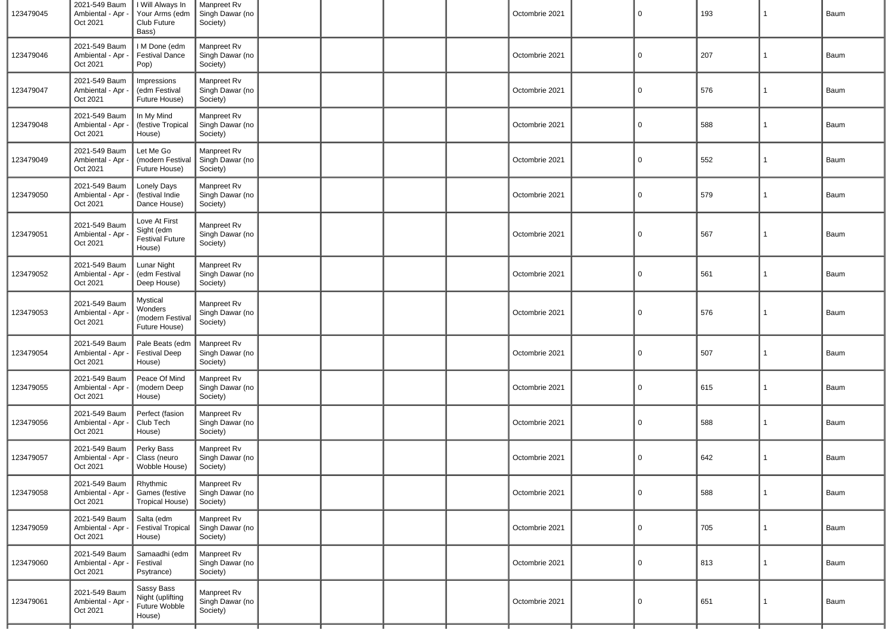| 123479045 | 2021-549 Baum<br>Ambiental - Apr -<br>Oct 2021 | I Will Always In<br>Your Arms (edm<br>Club Future<br>Bass)      | Manpreet Rv<br>Singh Dawar (no<br>Society) |  |  | Octombrie 2021 | $\overline{0}$ | 193 | $\mathbf{1}$ | Baum |
|-----------|------------------------------------------------|-----------------------------------------------------------------|--------------------------------------------|--|--|----------------|----------------|-----|--------------|------|
| 123479046 | 2021-549 Baum<br>Ambiental - Apr<br>Oct 2021   | I M Done (edm<br><b>Festival Dance</b><br>Pop)                  | Manpreet Rv<br>Singh Dawar (no<br>Society) |  |  | Octombrie 2021 | $\mathbf 0$    | 207 | $\mathbf{1}$ | Baum |
| 123479047 | 2021-549 Baum<br>Ambiental - Apr<br>Oct 2021   | Impressions<br>(edm Festival<br>Future House)                   | Manpreet Rv<br>Singh Dawar (no<br>Society) |  |  | Octombrie 2021 | $\mathbf 0$    | 576 | $\mathbf{1}$ | Baum |
| 123479048 | 2021-549 Baum<br>Ambiental - Apr<br>Oct 2021   | In My Mind<br>(festive Tropical<br>House)                       | Manpreet Rv<br>Singh Dawar (no<br>Society) |  |  | Octombrie 2021 | $\mathbf 0$    | 588 | $\mathbf{1}$ | Baum |
| 123479049 | 2021-549 Baum<br>Ambiental - Apr<br>Oct 2021   | Let Me Go<br>(modern Festival<br>Future House)                  | Manpreet Rv<br>Singh Dawar (no<br>Society) |  |  | Octombrie 2021 | $\mathbf 0$    | 552 | $\mathbf{1}$ | Baum |
| 123479050 | 2021-549 Baum<br>Ambiental - Apr<br>Oct 2021   | <b>Lonely Days</b><br>(festival Indie<br>Dance House)           | Manpreet Rv<br>Singh Dawar (no<br>Society) |  |  | Octombrie 2021 | $\mathbf 0$    | 579 | $\mathbf{1}$ | Baum |
| 123479051 | 2021-549 Baum<br>Ambiental - Apr<br>Oct 2021   | Love At First<br>Sight (edm<br><b>Festival Future</b><br>House) | Manpreet Rv<br>Singh Dawar (no<br>Society) |  |  | Octombrie 2021 | 0              | 567 | $\mathbf{1}$ | Baum |
| 123479052 | 2021-549 Baum<br>Ambiental - Apr<br>Oct 2021   | Lunar Night<br>(edm Festival<br>Deep House)                     | Manpreet Rv<br>Singh Dawar (no<br>Society) |  |  | Octombrie 2021 | $\mathbf 0$    | 561 | $\mathbf{1}$ | Baum |
| 123479053 | 2021-549 Baum<br>Ambiental - Apr<br>Oct 2021   | Mystical<br>Wonders<br>(modern Festival<br>Future House)        | Manpreet Rv<br>Singh Dawar (no<br>Society) |  |  | Octombrie 2021 | $\mathbf 0$    | 576 | $\mathbf{1}$ | Baum |
| 123479054 | 2021-549 Baum<br>Ambiental - Apr<br>Oct 2021   | Pale Beats (edm<br><b>Festival Deep</b><br>House)               | Manpreet Rv<br>Singh Dawar (no<br>Society) |  |  | Octombrie 2021 | $\mathbf 0$    | 507 | $\mathbf{1}$ | Baum |
| 123479055 | 2021-549 Baum<br>Ambiental - Apr<br>Oct 2021   | Peace Of Mind<br>(modern Deep<br>House)                         | Manpreet Rv<br>Singh Dawar (no<br>Society) |  |  | Octombrie 2021 | 0              | 615 | $\mathbf{1}$ | Baum |
| 123479056 | 2021-549 Baum<br>Ambiental - Apr<br>Oct 2021   | Perfect (fasion<br>Club Tech<br>House)                          | Manpreet Rv<br>Singh Dawar (no<br>Society) |  |  | Octombrie 2021 | $\mathbf 0$    | 588 | $\mathbf{1}$ | Baum |
| 123479057 | 2021-549 Baum<br>Ambiental - Apr<br>Oct 2021   | Perky Bass<br>Class (neuro<br>Wobble House)                     | Manpreet Rv<br>Singh Dawar (no<br>Society) |  |  | Octombrie 2021 | $\mathbf 0$    | 642 | $\mathbf{1}$ | Baum |
| 123479058 | 2021-549 Baum<br>Ambiental - Apr -<br>Oct 2021 | Rhythmic<br>Games (festive<br>Tropical House)                   | Manpreet Rv<br>Singh Dawar (no<br>Society) |  |  | Octombrie 2021 | $\overline{0}$ | 588 | $\mathbf{1}$ | Baum |
| 123479059 | 2021-549 Baum<br>Ambiental - Apr -<br>Oct 2021 | Salta (edm<br><b>Festival Tropical</b><br>House)                | Manpreet Rv<br>Singh Dawar (no<br>Society) |  |  | Octombrie 2021 | $\overline{0}$ | 705 | $\mathbf{1}$ | Baum |
| 123479060 | 2021-549 Baum<br>Ambiental - Apr -<br>Oct 2021 | Samaadhi (edm<br>Festival<br>Psytrance)                         | Manpreet Rv<br>Singh Dawar (no<br>Society) |  |  | Octombrie 2021 | $\mathbf 0$    | 813 | $\mathbf{1}$ | Baum |
| 123479061 | 2021-549 Baum<br>Ambiental - Apr<br>Oct 2021   | Sassy Bass<br>Night (uplifting<br>Future Wobble<br>House)       | Manpreet Rv<br>Singh Dawar (no<br>Society) |  |  | Octombrie 2021 | $\mathbf 0$    | 651 | $\mathbf{1}$ | Baum |
|           |                                                |                                                                 |                                            |  |  |                |                |     |              |      |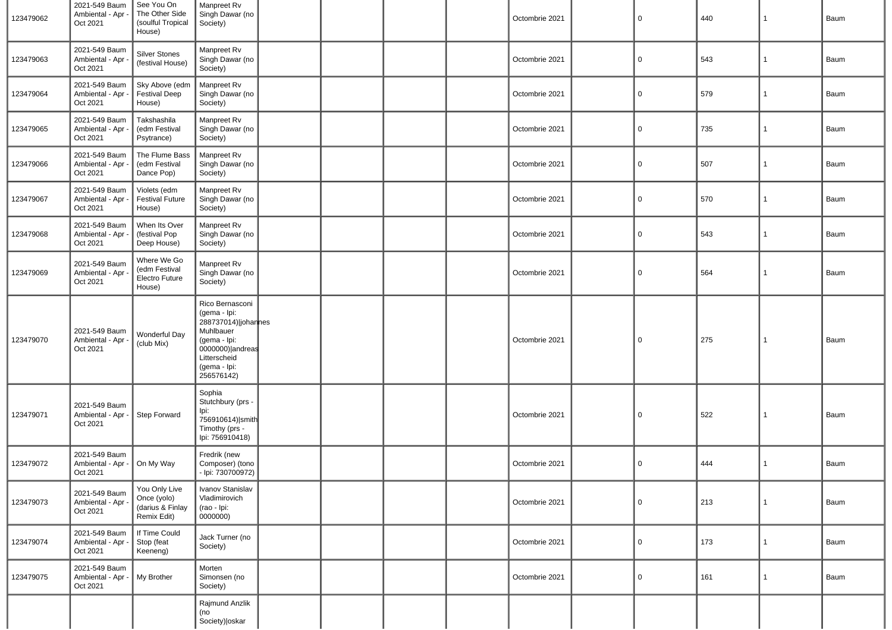| 123479062 | 2021-549 Baum<br>Ambiental - Apr -<br>Oct 2021 | See You On<br>The Other Side<br>(soulful Tropical<br>House)     | Manpreet Rv<br>Singh Dawar (no<br>Society)                                                                                                            |  |  | Octombrie 2021 | $\mathbf 0$  | 440 | 1            | Baum |
|-----------|------------------------------------------------|-----------------------------------------------------------------|-------------------------------------------------------------------------------------------------------------------------------------------------------|--|--|----------------|--------------|-----|--------------|------|
| 123479063 | 2021-549 Baum<br>Ambiental - Apr -<br>Oct 2021 | Silver Stones<br>(festival House)                               | Manpreet Rv<br>Singh Dawar (no<br>Society)                                                                                                            |  |  | Octombrie 2021 | 0            | 543 | 1            | Baum |
| 123479064 | 2021-549 Baum<br>Ambiental - Apr -<br>Oct 2021 | Sky Above (edm<br><b>Festival Deep</b><br>House)                | Manpreet Rv<br>Singh Dawar (no<br>Society)                                                                                                            |  |  | Octombrie 2021 | $\mathbf 0$  | 579 | $\mathbf{1}$ | Baum |
| 123479065 | 2021-549 Baum<br>Ambiental - Apr -<br>Oct 2021 | Takshashila<br>(edm Festival<br>Psytrance)                      | Manpreet Rv<br>Singh Dawar (no<br>Society)                                                                                                            |  |  | Octombrie 2021 | $\mathbf 0$  | 735 | $\mathbf{1}$ | Baum |
| 123479066 | 2021-549 Baum<br>Ambiental - Apr -<br>Oct 2021 | The Flume Bass<br>(edm Festival<br>Dance Pop)                   | Manpreet Rv<br>Singh Dawar (no<br>Society)                                                                                                            |  |  | Octombrie 2021 | $\mathsf{O}$ | 507 | 1            | Baum |
| 123479067 | 2021-549 Baum<br>Ambiental - Apr -<br>Oct 2021 | Violets (edm<br><b>Festival Future</b><br>House)                | Manpreet Rv<br>Singh Dawar (no<br>Society)                                                                                                            |  |  | Octombrie 2021 | $\mathbf 0$  | 570 | 1            | Baum |
| 123479068 | 2021-549 Baum<br>Ambiental - Apr -<br>Oct 2021 | When Its Over<br>(festival Pop<br>Deep House)                   | Manpreet Rv<br>Singh Dawar (no<br>Society)                                                                                                            |  |  | Octombrie 2021 | $\mathbf 0$  | 543 | $\mathbf{1}$ | Baum |
| 123479069 | 2021-549 Baum<br>Ambiental - Apr -<br>Oct 2021 | Where We Go<br>(edm Festival<br>Electro Future<br>House)        | Manpreet Rv<br>Singh Dawar (no<br>Society)                                                                                                            |  |  | Octombrie 2021 | $\mathbf 0$  | 564 | 1            | Baum |
| 123479070 | 2021-549 Baum<br>Ambiental - Apr -<br>Oct 2021 | Wonderful Day<br>(club Mix)                                     | Rico Bernasconi<br>(gema - Ipi:<br>288737014) johannes<br>Muhlbauer<br>(gema - Ipi:<br>0000000) andreas<br>Litterscheid<br>(gema - Ipi:<br>256576142) |  |  | Octombrie 2021 | 0            | 275 | $\mathbf{1}$ | Baum |
| 123479071 | 2021-549 Baum<br>Ambiental - Apr -<br>Oct 2021 | Step Forward                                                    | Sophia<br>Stutchbury (prs -<br>Ipi:<br>756910614) smith<br>Timothy (prs -<br>Ipi: 756910418)                                                          |  |  | Octombrie 2021 | 0            | 522 | $\mathbf{1}$ | Baum |
| 123479072 | 2021-549 Baum<br>Ambiental - Apr -<br>Oct 2021 | On My Way                                                       | Fredrik (new<br>Composer) (tono<br>- Ipi: 730700972)                                                                                                  |  |  | Octombrie 2021 | 0            | 444 | 1            | Baum |
| 123479073 | 2021-549 Baum<br>Ambiental - Apr -<br>Oct 2021 | You Only Live<br>Once (yolo)<br>(darius & Finlay<br>Remix Edit) | Ivanov Stanislav<br>Vladimirovich<br>(rao - Ipi:<br>0000000)                                                                                          |  |  | Octombrie 2021 | $\mathsf 0$  | 213 | $\mathbf 1$  | Baum |
| 123479074 | 2021-549 Baum<br>Ambiental - Apr -<br>Oct 2021 | If Time Could<br>Stop (feat<br>Keeneng)                         | Jack Turner (no<br>Society)                                                                                                                           |  |  | Octombrie 2021 | $\mathbf 0$  | 173 | $\mathbf{1}$ | Baum |
| 123479075 | 2021-549 Baum<br>Ambiental - Apr -<br>Oct 2021 | My Brother                                                      | Morten<br>Simonsen (no<br>Society)                                                                                                                    |  |  | Octombrie 2021 | $\mathbf 0$  | 161 | $\mathbf{1}$ | Baum |
|           |                                                |                                                                 | Rajmund Anzlik<br>(no<br>Society)   oskar                                                                                                             |  |  |                |              |     |              |      |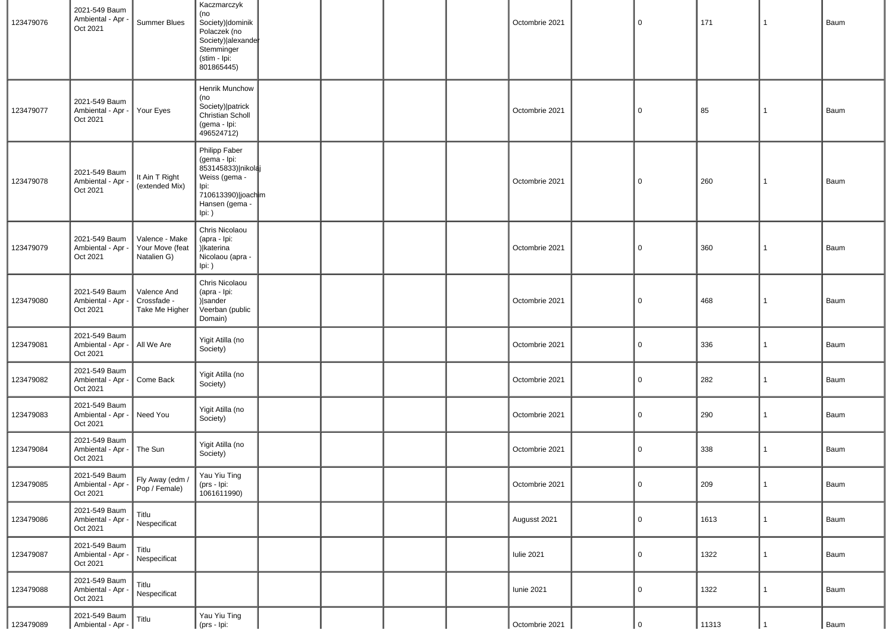| 123479076 | 2021-549 Baum<br>Ambiental - Apr<br>Oct 2021   | Summer Blues                                     | Kaczmarczyk<br>(no<br>Society) dominik<br>Polaczek (no<br>Society) alexande<br>Stemminger<br>(stim - Ipi:<br>801865445)          |  |  | Octombrie 2021    | $\overline{0}$ | 171   | $\mathbf{1}$   | Baum |
|-----------|------------------------------------------------|--------------------------------------------------|----------------------------------------------------------------------------------------------------------------------------------|--|--|-------------------|----------------|-------|----------------|------|
| 123479077 | 2021-549 Baum<br>Ambiental - Apr -<br>Oct 2021 | Your Eyes                                        | Henrik Munchow<br>(no<br>Society) patrick<br>Christian Scholl<br>(gema - Ipi:<br>496524712)                                      |  |  | Octombrie 2021    | $\overline{0}$ | 85    | $\mathbf{1}$   | Baum |
| 123479078 | 2021-549 Baum<br>Ambiental - Apr<br>Oct 2021   | It Ain T Right<br>(extended Mix)                 | Philipp Faber<br>(gema - Ipi:<br>853145833) nikolaj<br>Weiss (gema -<br>Ipi:<br>710613390) joach m<br>Hansen (gema -<br>$lpi:$ ) |  |  | Octombrie 2021    | $\overline{0}$ | 260   | $\mathbf{1}$   | Baum |
| 123479079 | 2021-549 Baum<br>Ambiental - Apr -<br>Oct 2021 | Valence - Make<br>Your Move (feat<br>Natalien G) | Chris Nicolaou<br>(apra - Ipi:<br>) katerina<br>Nicolaou (apra -<br>Ipi: )                                                       |  |  | Octombrie 2021    | $\overline{0}$ | 360   | $\mathbf{1}$   | Baum |
| 123479080 | 2021-549 Baum<br>Ambiental - Apr -<br>Oct 2021 | Valence And<br>Crossfade -<br>Take Me Higher     | Chris Nicolaou<br>(apra - Ipi:<br>) sander<br>Veerban (public<br>Domain)                                                         |  |  | Octombrie 2021    | $\overline{0}$ | 468   | 1              | Baum |
| 123479081 | 2021-549 Baum<br>Ambiental - Apr<br>Oct 2021   | All We Are                                       | Yigit Atilla (no<br>Society)                                                                                                     |  |  | Octombrie 2021    | $\mathbf 0$    | 336   | $\overline{1}$ | Baum |
| 123479082 | 2021-549 Baum<br>Ambiental - Apr -<br>Oct 2021 | Come Back                                        | Yigit Atilla (no<br>Society)                                                                                                     |  |  | Octombrie 2021    | $\overline{0}$ | 282   | $\overline{1}$ | Baum |
| 123479083 | 2021-549 Baum<br>Ambiental - Apr -<br>Oct 2021 | Need You                                         | Yigit Atilla (no<br>Society)                                                                                                     |  |  | Octombrie 2021    | $\mathbf 0$    | 290   | $\mathbf{1}$   | Baum |
| 123479084 | 2021-549 Baum<br>Ambiental - Apr -<br>Oct 2021 | The Sun                                          | Yigit Atilla (no<br>Society)                                                                                                     |  |  | Octombrie 2021    | $\mathbf 0$    | 338   | $\mathbf{1}$   | Baum |
| 123479085 | 2021-549 Baum<br>Ambiental - Apr -<br>Oct 2021 | Fly Away (edm /<br>Pop / Female)                 | Yau Yiu Ting<br>(prs - Ipi:<br>1061611990)                                                                                       |  |  | Octombrie 2021    | $\overline{0}$ | 209   | $\vert$ 1      | Baum |
| 123479086 | 2021-549 Baum<br>Ambiental - Apr<br>Oct 2021   | Titlu<br>Nespecificat                            |                                                                                                                                  |  |  | Augusst 2021      | $\overline{0}$ | 1613  | $\mathbf{1}$   | Baum |
| 123479087 | 2021-549 Baum<br>Ambiental - Apr<br>Oct 2021   | Titlu<br>Nespecificat                            |                                                                                                                                  |  |  | <b>Iulie 2021</b> | $\overline{0}$ | 1322  | $\mathbf{1}$   | Baum |
| 123479088 | 2021-549 Baum<br>Ambiental - Apr -<br>Oct 2021 | Titlu<br>Nespecificat                            |                                                                                                                                  |  |  | <b>Iunie 2021</b> | $\overline{0}$ | 1322  | 1              | Baum |
| 123479089 | 2021-549 Baum<br>Ambiental - Apr -             | Titlu                                            | Yau Yiu Ting<br>(prs - Ipi:                                                                                                      |  |  | Octombrie 2021    | $\mathbf 0$    | 11313 |                | Baum |